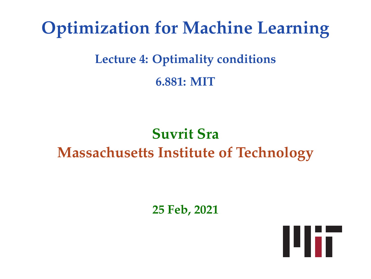# **Optimization for Machine Learning**

## **Lecture 4: Optimality conditions 6.881: MIT**

## **Suvrit Sra Massachusetts Institute of Technology**

**25 Feb, 2021**

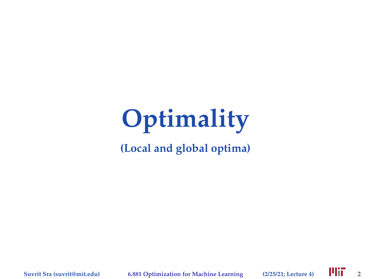**(Local and global optima)**

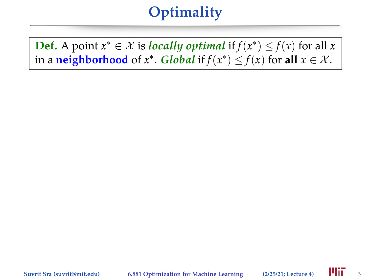**Def.** A point  $x^* \in \mathcal{X}$  is *locally optimal* if  $f(x^*) \leq f(x)$  for all *x* in a **neighborhood** of  $x^*$ . *Global* if  $f(x^*) \leq f(x)$  for **a**ll  $x \in \mathcal{X}$ .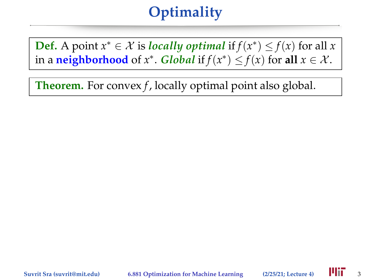**Def.** A point  $x^* \in \mathcal{X}$  is *locally optimal* if  $f(x^*) \leq f(x)$  for all *x* in a **neighborhood** of  $x^*$ . *Global* if  $f(x^*) \leq f(x)$  for **a**ll  $x \in \mathcal{X}$ .

**Theorem.** For convex *f*, locally optimal point also global.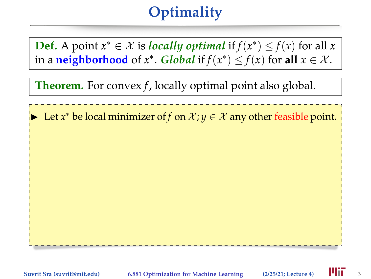**Def.** A point  $x^* \in \mathcal{X}$  is *locally optimal* if  $f(x^*) \leq f(x)$  for all *x* in a **neighborhood** of  $x^*$ . *Global* if  $f(x^*) \leq f(x)$  for **a**ll  $x \in \mathcal{X}$ .

**Theorem.** For convex *f*, locally optimal point also global.

► Let *x*<sup>\*</sup> be local minimizer of *f* on  $X$ ;  $y \in X$  any other feasible point.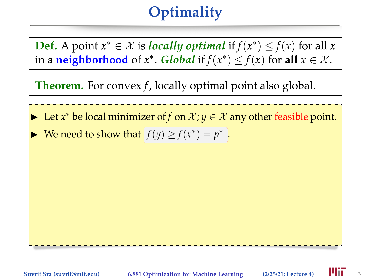**Def.** A point  $x^* \in \mathcal{X}$  is *locally optimal* if  $f(x^*) \leq f(x)$  for all *x* in a **neighborhood** of  $x^*$ . *Global* if  $f(x^*) \leq f(x)$  for **a**ll  $x \in \mathcal{X}$ .

**Theorem.** For convex *f*, locally optimal point also global.

► Let *x*<sup>\*</sup> be local minimizer of *f* on  $X$ ;  $y \in X$  any other feasible point.

► We need to show that  $f(y) \ge f(x^*) = p^*$ .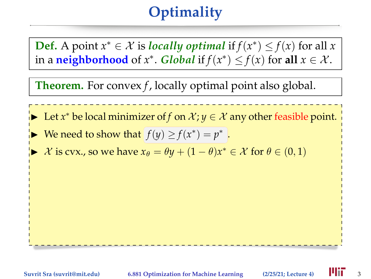**Def.** A point  $x^* \in \mathcal{X}$  is *locally optimal* if  $f(x^*) \leq f(x)$  for all *x* in a **neighborhood** of  $x^*$ . *Global* if  $f(x^*) \leq f(x)$  for **a**ll  $x \in \mathcal{X}$ .

**Theorem.** For convex *f*, locally optimal point also global.



- ► We need to show that  $f(y) \ge f(x^*) = p^*$ .
- ► X is cvx., so we have  $x_{\theta} = \theta y + (1 \theta)x^* \in \mathcal{X}$  for  $\theta \in (0, 1)$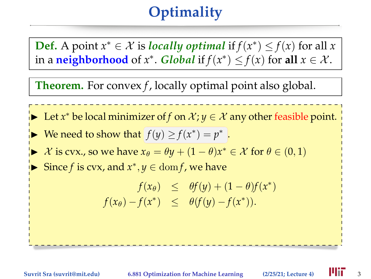**Def.** A point  $x^* \in \mathcal{X}$  is *locally optimal* if  $f(x^*) \leq f(x)$  for all *x* in a **neighborhood** of  $x^*$ . *Global* if  $f(x^*) \leq f(x)$  for **a**ll  $x \in \mathcal{X}$ .

**Theorem.** For convex *f*, locally optimal point also global.

- ► Let *x*<sup>\*</sup> be local minimizer of *f* on  $X$ ;  $y \in X$  any other feasible point.
- ► We need to show that  $f(y) \ge f(x^*) = p^*$ .
- ► X is cvx., so we have  $x_{\theta} = \theta y + (1 \theta)x^* \in \mathcal{X}$  for  $\theta \in (0, 1)$
- ► Since *f* is cvx, and  $x^*$ ,  $y \in \text{dom} f$ , we have

$$
f(x_{\theta}) \leq \theta f(y) + (1 - \theta)f(x^*)
$$
  

$$
f(x_{\theta}) - f(x^*) \leq \theta (f(y) - f(x^*)).
$$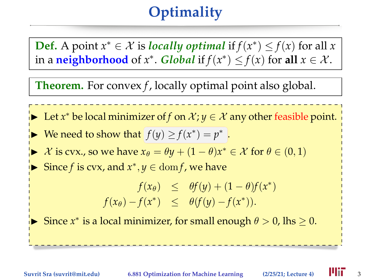**Def.** A point  $x^* \in \mathcal{X}$  is *locally optimal* if  $f(x^*) \leq f(x)$  for all *x* in a **neighborhood** of  $x^*$ . *Global* if  $f(x^*) \leq f(x)$  for **a**ll  $x \in \mathcal{X}$ .

**Theorem.** For convex *f*, locally optimal point also global.

- ► Let *x*<sup>\*</sup> be local minimizer of *f* on  $X$ ;  $y \in X$  any other feasible point.
- ► We need to show that  $f(y) \ge f(x^*) = p^*$ .
- ► X is cvx., so we have  $x_{\theta} = \theta y + (1 \theta)x^* \in \mathcal{X}$  for  $\theta \in (0, 1)$
- ► Since *f* is cvx, and  $x^*$ ,  $y \in \text{dom} f$ , we have

 $f(x_\theta) \leq \theta f(y) + (1 - \theta)f(x^*)$  $f(x_\theta) - f(x^*) \leq \theta(f(y) - f(x^*)).$ 

Since *x*<sup>\*</sup> is a local minimizer, for small enough  $\theta > 0$ , lhs  $\geq 0$ .

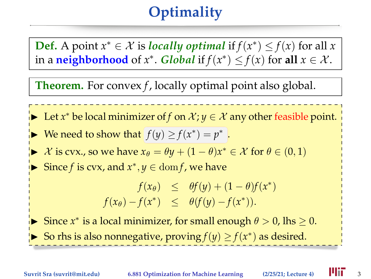**Def.** A point  $x^* \in \mathcal{X}$  is *locally optimal* if  $f(x^*) \leq f(x)$  for all *x* in a **neighborhood** of  $x^*$ . *Global* if  $f(x^*) \leq f(x)$  for **a**ll  $x \in \mathcal{X}$ .

**Theorem.** For convex *f*, locally optimal point also global.

- ► Let *x*<sup>\*</sup> be local minimizer of *f* on  $X$ ;  $y \in X$  any other feasible point.
- ► We need to show that  $f(y) \ge f(x^*) = p^*$ .
- ► X is cvx., so we have  $x_{\theta} = \theta y + (1 \theta)x^* \in \mathcal{X}$  for  $\theta \in (0, 1)$
- ► Since *f* is cvx, and  $x^*$ ,  $y \in \text{dom} f$ , we have

$$
f(x_{\theta}) \leq \theta f(y) + (1 - \theta)f(x^*)
$$
  

$$
f(x_{\theta}) - f(x^*) \leq \theta (f(y) - f(x^*)).
$$

Since *x*<sup>\*</sup> is a local minimizer, for small enough  $\theta > 0$ , lhs  $\geq 0$ . ► So rhs is also nonnegative, proving *f*(*y*)  $\ge$  *f*(*x*<sup>\*</sup>) as desired.

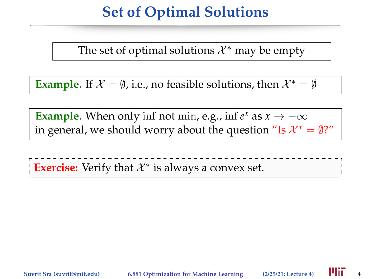#### **Set of Optimal Solutions**

The set of optimal solutions  $\mathcal{X}^*$  may be empty

**Example.** If  $X = \emptyset$ , i.e., no feasible solutions, then  $X^* = \emptyset$ 

**Example.** When only inf not min, e.g., inf  $e^x$  as  $x \to -\infty$ in general, we should worry about the question "Is  $\mathcal{X}^* = \emptyset$ ?"

**Exercise:** Verify that *X*<sup>\*</sup> is always a convex set.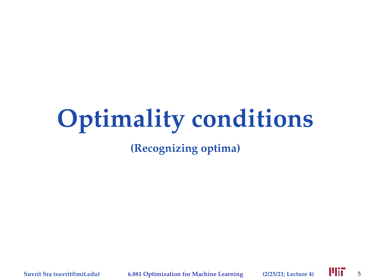# **Optimality conditions**

**(Recognizing optima)**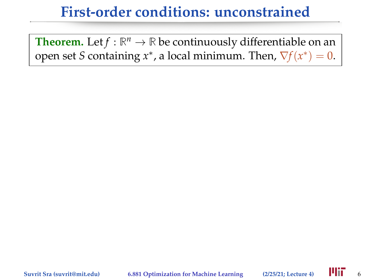**Theorem.** Let  $f : \mathbb{R}^n \to \mathbb{R}$  be continuously differentiable on an open set *S* containing  $x^*$ , a local minimum. Then,  $\nabla f(x^*) = 0$ .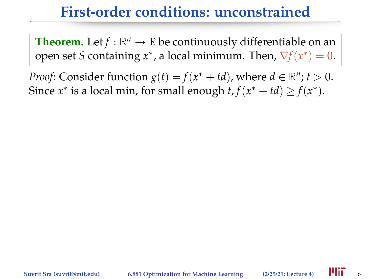**Theorem.** Let  $f : \mathbb{R}^n \to \mathbb{R}$  be continuously differentiable on an open set *S* containing  $x^*$ , a local minimum. Then,  $\nabla f(x^*) = 0$ .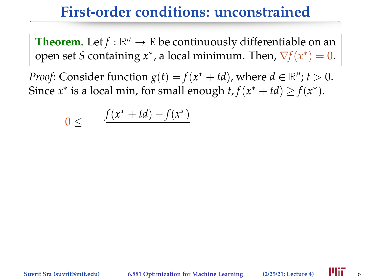**Theorem.** Let  $f : \mathbb{R}^n \to \mathbb{R}$  be continuously differentiable on an open set *S* containing  $x^*$ , a local minimum. Then,  $\nabla f(x^*) = 0$ .

$$
0 \leq \qquad \frac{f(x^* + td) - f(x^*)}{f(x^*)}
$$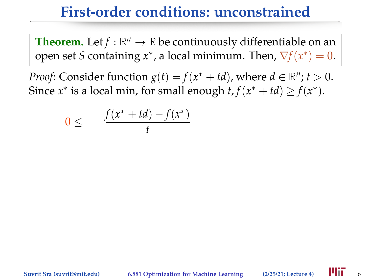**Theorem.** Let  $f : \mathbb{R}^n \to \mathbb{R}$  be continuously differentiable on an open set *S* containing  $x^*$ , a local minimum. Then,  $\nabla f(x^*) = 0$ .

$$
0 \leq \qquad \frac{f(x^* + td) - f(x^*)}{t}
$$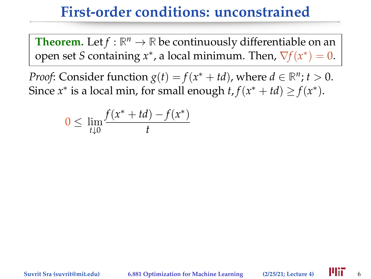**Theorem.** Let  $f : \mathbb{R}^n \to \mathbb{R}$  be continuously differentiable on an open set *S* containing  $x^*$ , a local minimum. Then,  $\nabla f(x^*) = 0$ .

$$
0 \leq \lim_{t \downarrow 0} \frac{f(x^* + td) - f(x^*)}{t}
$$

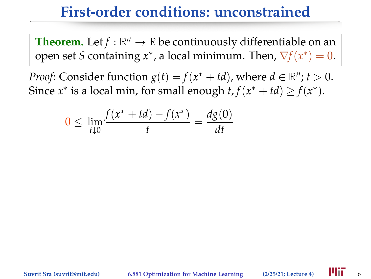**Theorem.** Let  $f : \mathbb{R}^n \to \mathbb{R}$  be continuously differentiable on an open set *S* containing  $x^*$ , a local minimum. Then,  $\nabla f(x^*) = 0$ .

$$
0 \le \lim_{t \downarrow 0} \frac{f(x^* + td) - f(x^*)}{t} = \frac{dg(0)}{dt}
$$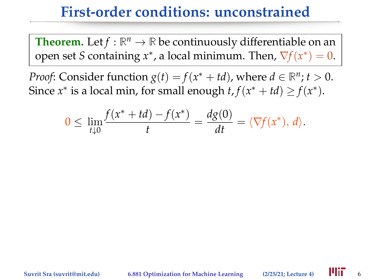**Theorem.** Let  $f : \mathbb{R}^n \to \mathbb{R}$  be continuously differentiable on an open set *S* containing  $x^*$ , a local minimum. Then,  $\nabla f(x^*) = 0$ .

$$
0 \leq \lim_{t \downarrow 0} \frac{f(x^* + td) - f(x^*)}{t} = \frac{dg(0)}{dt} = \langle \nabla f(x^*), d \rangle.
$$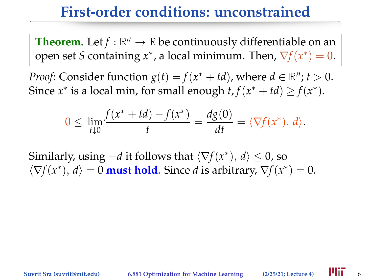**Theorem.** Let  $f : \mathbb{R}^n \to \mathbb{R}$  be continuously differentiable on an open set *S* containing  $x^*$ , a local minimum. Then,  $\nabla f(x^*) = 0$ .

*Proof*: Consider function *g*(*t*) = *f*(*x*<sup>\*</sup> + *td*), where *d* ∈  $\mathbb{R}^n$ ; *t* > 0. Since  $x^*$  is a local min, for small enough  $t, f(x^* + td) \ge f(x^*)$ .

$$
0 \leq \lim_{t \downarrow 0} \frac{f(x^* + td) - f(x^*)}{t} = \frac{dg(0)}{dt} = \langle \nabla f(x^*), d \rangle.
$$

Similarly, using  $-d$  it follows that  $\langle \nabla f(x^*), d \rangle \leq 0$ , so  $\langle \nabla f(x^*), d \rangle = 0$  must hold. Since *d* is arbitrary,  $\nabla f(x^*) = 0$ .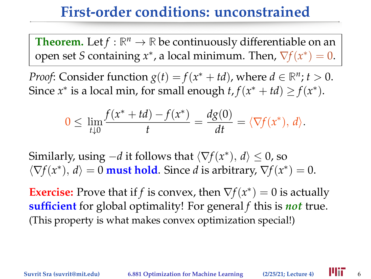**Theorem.** Let  $f : \mathbb{R}^n \to \mathbb{R}$  be continuously differentiable on an open set *S* containing  $x^*$ , a local minimum. Then,  $\nabla f(x^*) = 0$ .

*Proof*: Consider function *g*(*t*) = *f*(*x*<sup>\*</sup> + *td*), where *d* ∈  $\mathbb{R}^n$ ; *t* > 0. Since  $x^*$  is a local min, for small enough  $t, f(x^* + td) \ge f(x^*)$ .

$$
0 \le \lim_{t \downarrow 0} \frac{f(x^* + td) - f(x^*)}{t} = \frac{dg(0)}{dt} = \langle \nabla f(x^*), d \rangle.
$$

Similarly, using  $-d$  it follows that  $\langle \nabla f(x^*), d \rangle \leq 0$ , so  $\langle \nabla f(x^*), d \rangle = 0$  must hold. Since *d* is arbitrary,  $\nabla f(x^*) = 0$ .

**Exercise:** Prove that if *f* is convex, then  $\nabla f(x^*) = 0$  is actually **sufficient** for global optimality! For general *f* this is *not* true. (This property is what makes convex optimization special!)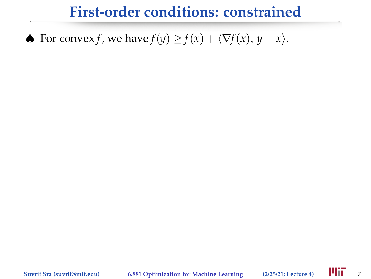#### ♦ For convex *f*, we have  $f(y) \ge f(x) + \langle \nabla f(x), y - x \rangle$ .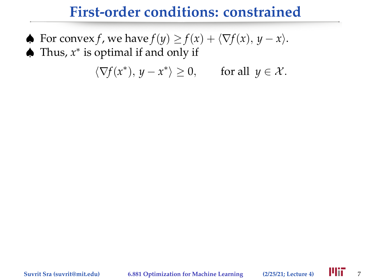- ♠ For convex *f*, we have *f*(*y*) ≥ *f*(*x*) + h∇*f*(*x*), *y* − *x*i. ♠ Thus, *x* ∗ is optimal if and only if
	- $\langle \nabla f(x^*), y x^* \rangle \ge 0$ , for all  $y \in \mathcal{X}$ .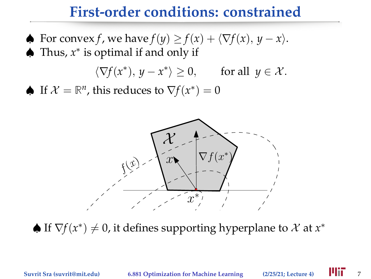♦ For convex *f*, we have  $f(y) \ge f(x) + \langle \nabla f(x), y - x \rangle$ . ♠ Thus, *x* ∗ is optimal if and only if

$$
\langle \nabla f(x^*), y - x^* \rangle \ge 0, \quad \text{for all } y \in \mathcal{X}.
$$

♦ If  $\mathcal{X} = \mathbb{R}^n$ , this reduces to  $\nabla f(x^*) = 0$ 



 $\blacklozenge$  If  $\nabla f(x^*) \neq 0$ , it defines supporting hyperplane to  $\mathcal X$  at  $x^*$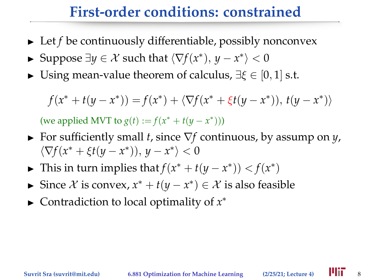- $\blacktriangleright$  Let *f* be continuously differentiable, possibly nonconvex
- ► Suppose  $\exists y \in \mathcal{X}$  such that  $\langle \nabla f(x^*), y x^* \rangle < 0$
- $\triangleright$  Using mean-value theorem of calculus,  $\exists \xi \in [0,1]$  s.t.

$$
f(x^* + t(y - x^*)) = f(x^*) + \langle \nabla f(x^* + \xi t(y - x^*)), t(y - x^*) \rangle
$$

(we applied MVT to *g*(*t*) := *f*( $x^* + t(y - x^*)$ ))

- <sup>I</sup> For sufficiently small *t*, since ∇*f* continuous, by assump on *y*,  $\langle \nabla f(x^* + \xi t(y - x^*)), y - x^* \rangle < 0$
- ► This in turn implies that  $f(x^* + t(y x^*)) < f(x^*)$
- ► Since  $X$  is convex,  $x^* + t(y x^*) \in X$  is also feasible
- ► Contradiction to local optimality of  $x^*$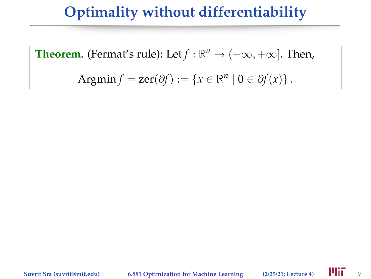**Theorem.** (Fermat's rule): Let  $f : \mathbb{R}^n \to (-\infty, +\infty]$ . Then,

Argmin *f* = zer( $\partial f$ ) := { $x \in \mathbb{R}^n \mid 0 \in \partial f(x)$  }.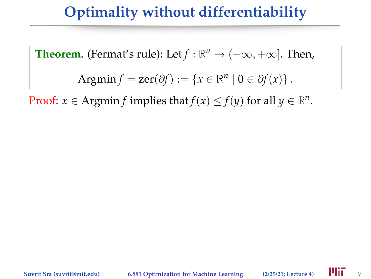**Theorem.** (Fermat's rule): Let 
$$
f : \mathbb{R}^n \to (-\infty, +\infty]
$$
. Then,

Argmin 
$$
f = \text{zer}(\partial f) := \{x \in \mathbb{R}^n \mid 0 \in \partial f(x)\}.
$$

Proof:  $x \in \text{Argmin } f$  implies that  $f(x) \leq f(y)$  for all  $y \in \mathbb{R}^n$ .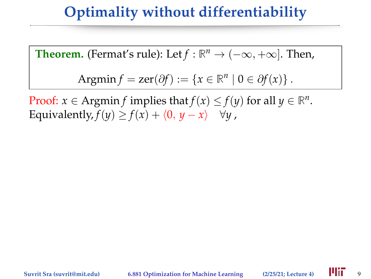**Theorem.** (Fermat's rule): Let  $f : \mathbb{R}^n \to (-\infty, +\infty]$ . Then,

Argmin 
$$
f = \text{zer}(\partial f) := \{x \in \mathbb{R}^n \mid 0 \in \partial f(x)\}.
$$

Proof:  $x \in \text{Argmin} f$  implies that  $f(x) \le f(y)$  for all  $y \in \mathbb{R}^n$ . Equivalently,  $f(y) \ge f(x) + \langle 0, y - x \rangle \quad \forall y$ ,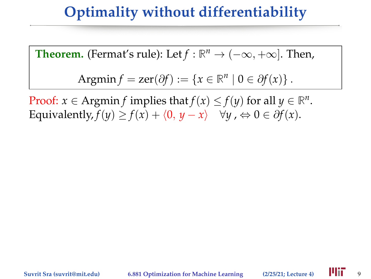**Theorem.** (Fermat's rule): Let  $f : \mathbb{R}^n \to (-\infty, +\infty]$ . Then,

Argmin 
$$
f = \text{zer}(\partial f) := \{x \in \mathbb{R}^n \mid 0 \in \partial f(x)\}.
$$

Proof:  $x \in \text{Argmin} f$  implies that  $f(x) \le f(y)$  for all  $y \in \mathbb{R}^n$ . Equivalently,  $f(y) \ge f(x) + \langle 0, y - x \rangle \quad \forall y, \Leftrightarrow 0 \in \partial f(x)$ .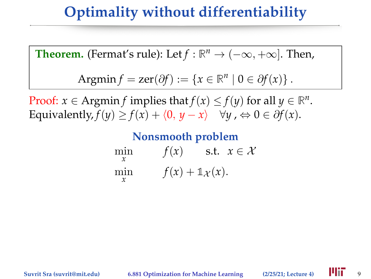**Theorem.** (Fermat's rule): Let 
$$
f : \mathbb{R}^n \to (-\infty, +\infty]
$$
. Then,

Argmin 
$$
f = \text{zer}(\partial f) := \{x \in \mathbb{R}^n \mid 0 \in \partial f(x)\}.
$$

Proof:  $x \in \text{Argmin} f$  implies that  $f(x) \le f(y)$  for all  $y \in \mathbb{R}^n$ . Equivalently,  $f(y) \ge f(x) + \langle 0, y - x \rangle \quad \forall y, \Leftrightarrow 0 \in \partial f(x)$ .

**Nonsmooth problem**

| min | f(x)                                   | s.t. $x \in \mathcal{X}$ |
|-----|----------------------------------------|--------------------------|
| min | $f(x) + \mathbb{1}_{\mathcal{X}}(x)$ . |                          |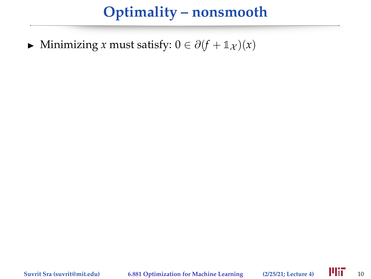$\triangleright$  Minimizing *x* must satisfy:  $0 \in \partial (f + \mathbb{1}_{\mathcal{X}})(x)$ 

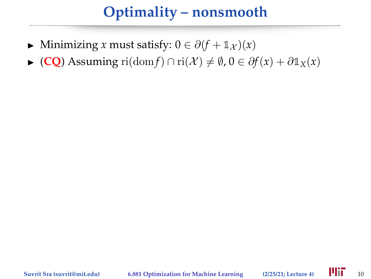- $\triangleright$  Minimizing *x* must satisfy:  $0 \in \partial (f + \mathbb{1}_{\mathcal{X}})(x)$
- $\triangleright$  (**CQ**) Assuming ri(dom *f*) ∩ ri(*X*)  $\neq$  Ø, 0 ∈  $\partial f(x) + \partial \mathbb{1}_X(x)$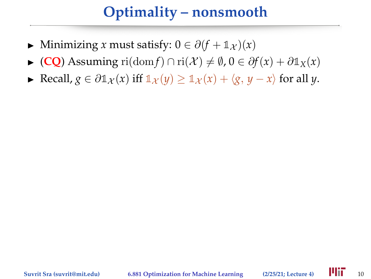- $\triangleright$  Minimizing *x* must satisfy:  $0 \in \partial (f + \mathbb{1}_{\mathcal{X}})(x)$
- $\triangleright$  (**CO**) Assuming ri(dom *f*) ∩ ri(*X*)  $\neq \emptyset$ ,  $0 \in \partial f(x) + \partial \mathbb{1}_X(x)$
- ► Recall,  $g \in \partial \mathbb{1}_{\mathcal{X}}(x)$  iff  $\mathbb{1}_{\mathcal{X}}(y) > \mathbb{1}_{\mathcal{X}}(x) + \langle g, y x \rangle$  for all *y*.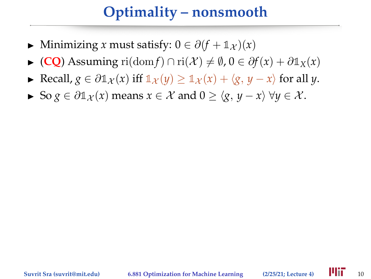- $\triangleright$  Minimizing *x* must satisfy:  $0 \in \partial (f + \mathbb{1}_{\mathcal{X}})(x)$
- $\triangleright$  (**CO**) Assuming ri(dom *f*) ∩ ri(*X*)  $\neq$  Ø, 0 ∈  $\partial f(x) + \partial \mathbb{1}_X(x)$
- ► Recall,  $g \in \partial \mathbb{1}_{\mathcal{X}}(x)$  iff  $\mathbb{1}_{\mathcal{X}}(y) > \mathbb{1}_{\mathcal{X}}(x) + \langle g, y x \rangle$  for all *y*.
- $\triangleright$  So *g* ∈  $\partial \mathbb{1}_{\mathcal{X}}(x)$  means  $x \in \mathcal{X}$  and  $0 \geq \langle g, y x \rangle \ \forall y \in \mathcal{X}$ .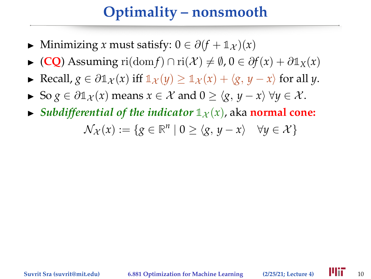- $\triangleright$  Minimizing *x* must satisfy:  $0 \in \partial (f + \mathbb{1}_{\mathcal{X}})(x)$
- $\triangleright$  (**CO**) Assuming ri(dom *f*) ∩ ri(*X*)  $\neq$  Ø, 0 ∈  $\partial f(x) + \partial \mathbb{1}_X(x)$
- ► Recall,  $g \in \partial \mathbb{1}_{\mathcal{X}}(x)$  iff  $\mathbb{1}_{\mathcal{X}}(y) > \mathbb{1}_{\mathcal{X}}(x) + \langle g, y x \rangle$  for all *y*.
- $\triangleright$  So *g* ∈  $\partial \mathbb{1}_{\mathcal{X}}(x)$  means  $x \in \mathcal{X}$  and  $0 \geq \langle g, y x \rangle \ \forall y \in \mathcal{X}$ .
- $\blacktriangleright$  *Subdifferential of the indicator*  $\mathbb{1}_{\chi}(x)$ , aka **normal cone:**  $\mathcal{N}_{\mathcal{X}}(x) := \{ g \in \mathbb{R}^n \mid 0 \ge \langle g, y - x \rangle \quad \forall y \in \mathcal{X} \}$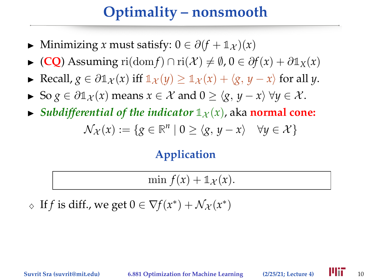- $\triangleright$  Minimizing *x* must satisfy:  $0 \in \partial (f + \mathbb{1}_{\mathcal{X}})(x)$
- $\triangleright$  (**CO**) Assuming ri(dom *f*) ∩ ri(*X*)  $\neq$  Ø, 0 ∈  $\partial f(x) + \partial \mathbb{1}_X(x)$
- ► Recall,  $g \in \partial \mathbb{1}_{\mathcal{X}}(x)$  iff  $\mathbb{1}_{\mathcal{X}}(y) > \mathbb{1}_{\mathcal{X}}(x) + \langle g, y x \rangle$  for all *y*.
- $\triangleright$  So *g* ∈  $\partial \mathbb{1}_{\mathcal{X}}(x)$  means  $x \in \mathcal{X}$  and  $0 \ge \langle g, y x \rangle \ \forall y \in \mathcal{X}$ .
- $\blacktriangleright$  *Subdifferential of the indicator*  $\mathbb{1}_{\chi}(x)$ , aka **normal cone:**

$$
\mathcal{N}_{\mathcal{X}}(x) := \{ g \in \mathbb{R}^n \mid 0 \ge \langle g, y - x \rangle \quad \forall y \in \mathcal{X} \}
$$

#### **Application**

min  $f(x) + \mathbb{1}_{\mathcal{X}}(x)$ .

 $\Diamond$  If *f* is diff., we get  $0 \in \nabla f(x^*) + \mathcal{N}_{\mathcal{X}}(x^*)$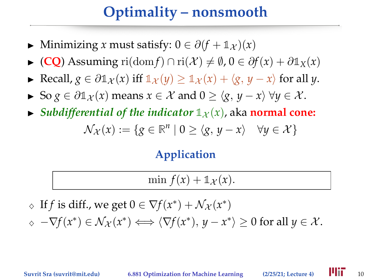## **Optimality – nonsmooth**

- $\triangleright$  Minimizing *x* must satisfy:  $0 \in \partial (f + \mathbb{1}_{\mathcal{X}})(x)$
- $\triangleright$  (**CO**) Assuming ri(dom *f*) ∩ ri(*X*)  $\neq$  Ø, 0 ∈  $\partial f(x) + \partial \mathbb{1}_X(x)$
- ► Recall,  $g \in \partial \mathbb{1}_{\mathcal{X}}(x)$  iff  $\mathbb{1}_{\mathcal{X}}(y) > \mathbb{1}_{\mathcal{X}}(x) + \langle g, y x \rangle$  for all *y*.
- $\triangleright$  So *g* ∈  $\partial \mathbb{1}_{\mathcal{X}}(x)$  means  $x \in \mathcal{X}$  and  $0 \ge \langle g, y x \rangle \ \forall y \in \mathcal{X}$ .
- $\blacktriangleright$  *Subdifferential of the indicator*  $\mathbb{1}_{\chi}(x)$ , aka **normal cone:**

$$
\mathcal{N}_{\mathcal{X}}(x) := \{ g \in \mathbb{R}^n \mid 0 \ge \langle g, y - x \rangle \quad \forall y \in \mathcal{X} \}
$$

#### **Application**

$$
\min f(x) + \mathbb{1}_{\mathcal{X}}(x).
$$

 $\Diamond$  If *f* is diff., we get  $0 \in \nabla f(x^*) + \mathcal{N}_{\mathcal{X}}(x^*)$ 

 $\Diamond$   $\neg\nabla f(x^*) \in \mathcal{N}_{\mathcal{X}}(x^*) \Longleftrightarrow \langle \nabla f(x^*), y - x^* \rangle \geq 0$  for all  $y \in \mathcal{X}$ .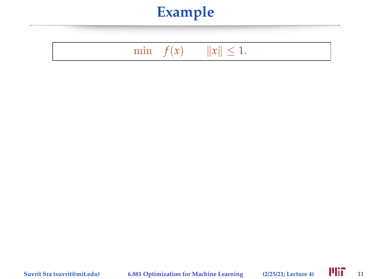#### min  $f(x) \t ||x|| \le 1.$

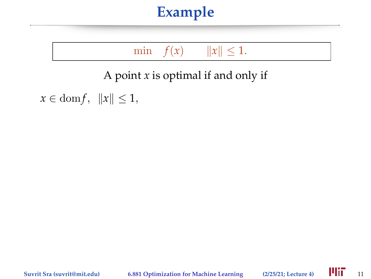min  $f(x) \t ||x|| \le 1.$ 

A point *x* is optimal if and only if

 $x \in \text{dom } f, \|x\| \leq 1,$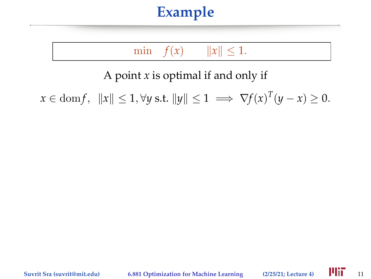min  $f(x) \t ||x|| \le 1.$ 

A point *x* is optimal if and only if

 $x \in \text{dom} f, \|x\| \leq 1, \forall y \text{ s.t. } \|y\| \leq 1 \implies \nabla f(x)^T (y - x) \geq 0.$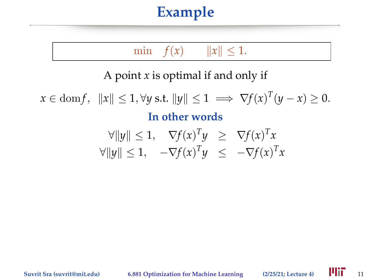min  $f(x) \t ||x|| \le 1.$ 

A point *x* is optimal if and only if

 $x \in \text{dom} f, \|x\| \leq 1, \forall y \text{ s.t. } \|y\| \leq 1 \implies \nabla f(x)^T (y - x) \geq 0.$ **In other words** *T T*

$$
\forall ||y|| \leq 1, \quad \nabla f(x)^T y \geq \nabla f(x)^T x
$$
  
 
$$
\forall ||y|| \leq 1, \quad -\nabla f(x)^T y \leq -\nabla f(x)^T x
$$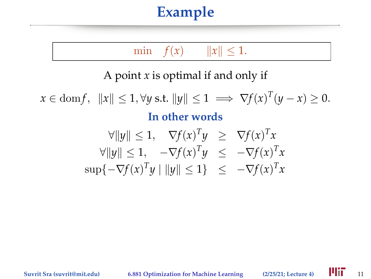min  $f(x) \t ||x|| \le 1.$ 

A point *x* is optimal if and only if

 $x \in \text{dom} f, \|x\| \leq 1, \forall y \text{ s.t. } \|y\| \leq 1 \implies \nabla f(x)^T (y - x) \geq 0.$ **In other words**

$$
\forall ||y|| \le 1, \quad \nabla f(x)^T y \ge \nabla f(x)^T x
$$
  
\n
$$
\forall ||y|| \le 1, \quad -\nabla f(x)^T y \le -\nabla f(x)^T x
$$
  
\n
$$
\sup \{-\nabla f(x)^T y \mid ||y|| \le 1\} \le -\nabla f(x)^T x
$$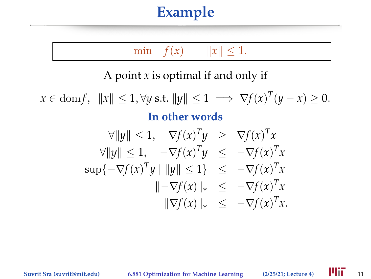min  $f(x) \t ||x|| \le 1.$ 

A point *x* is optimal if and only if

 $x \in \text{dom} f, \|x\| \leq 1, \forall y \text{ s.t. } \|y\| \leq 1 \implies \nabla f(x)^T (y - x) \geq 0.$ **In other words**  $\forall ||y|| \leq 1, \quad \nabla f(x)^T y \geq \nabla f(x)^T x$ 

$$
\forall ||y|| \leq 1, \quad -\nabla f(x)^T y \leq -\nabla f(x)^T x
$$
  
\n
$$
\sup \{-\nabla f(x)^T y \mid ||y|| \leq 1\} \leq -\nabla f(x)^T x
$$
  
\n
$$
||-\nabla f(x)||_* \leq -\nabla f(x)^T x
$$
  
\n
$$
||\nabla f(x)||_* \leq -\nabla f(x)^T x.
$$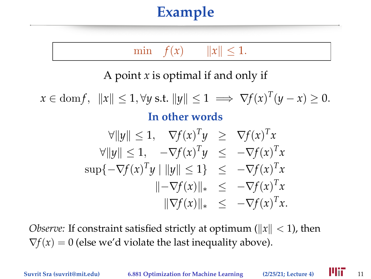min  $f(x) \t ||x|| < 1.$ 

A point *x* is optimal if and only if

 $x \in \text{dom} f, \|x\| \leq 1, \forall y \text{ s.t. } \|y\| \leq 1 \implies \nabla f(x)^T (y - x) \geq 0.$ 

#### **In other words**

$$
\forall ||y|| \leq 1, \quad \nabla f(x)^T y \geq \nabla f(x)^T x
$$
  
\n
$$
\forall ||y|| \leq 1, \quad -\nabla f(x)^T y \leq -\nabla f(x)^T x
$$
  
\n
$$
\sup \{-\nabla f(x)^T y \mid ||y|| \leq 1\} \leq -\nabla f(x)^T x
$$
  
\n
$$
||-\nabla f(x)||_* \leq -\nabla f(x)^T x
$$
  
\n
$$
||\nabla f(x)||_* \leq -\nabla f(x)^T x.
$$

*Observe:* If constraint satisfied strictly at optimum ( $||x|| < 1$ ), then  $\nabla f(x) = 0$  (else we'd violate the last inequality above).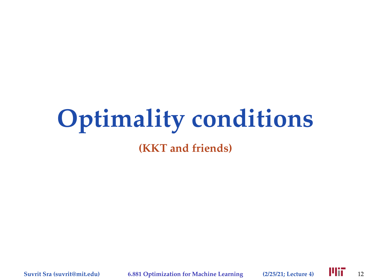# **Optimality conditions**

**(KKT and friends)**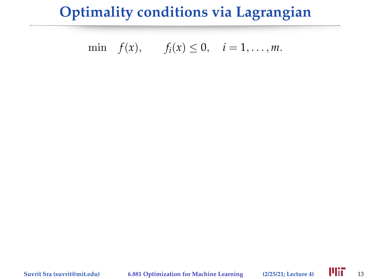$$
\min f(x), \qquad f_i(x) \leq 0, \quad i=1,\ldots,m.
$$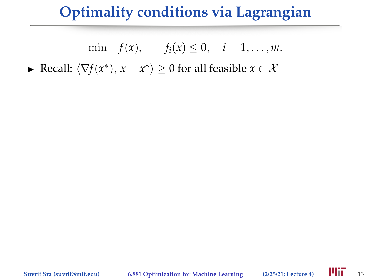min  $f(x)$ ,  $f_i(x) \le 0$ ,  $i = 1, ..., m$ .

► Recall:  $\langle \nabla f(x^*)$ ,  $x - x^* \rangle \ge 0$  for all feasible  $x \in \mathcal{X}$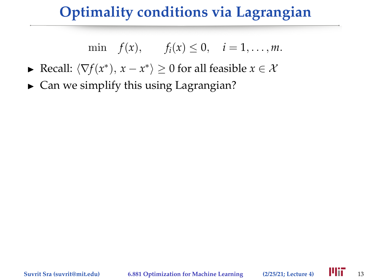$$
\min f(x), \qquad f_i(x) \leq 0, \quad i=1,\ldots,m.
$$

- ► Recall:  $\langle \nabla f(x^*)$ ,  $x x^* \rangle \ge 0$  for all feasible  $x \in \mathcal{X}$
- $\triangleright$  Can we simplify this using Lagrangian?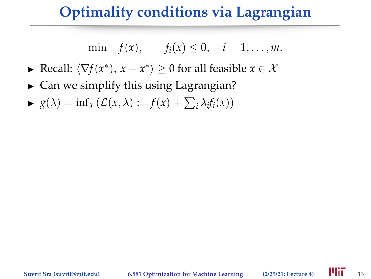$$
\min f(x), \qquad f_i(x) \leq 0, \quad i=1,\ldots,m.
$$

- ► Recall:  $\langle \nabla f(x^*)$ ,  $x x^* \rangle \ge 0$  for all feasible  $x \in \mathcal{X}$
- $\triangleright$  Can we simplify this using Lagrangian?
- $\blacktriangleright$   $g(\lambda) = \inf_x (\mathcal{L}(x, \lambda)) := f(x) + \sum_i \lambda_i f_i(x)$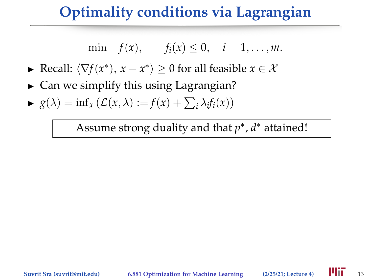$$
\min f(x), \qquad f_i(x) \leq 0, \quad i=1,\ldots,m.
$$

- ► Recall:  $\langle \nabla f(x^*)$ ,  $x x^* \rangle \ge 0$  for all feasible  $x \in \mathcal{X}$
- $\triangleright$  Can we simplify this using Lagrangian?
- $\blacktriangleright$   $g(\lambda) = \inf_x (\mathcal{L}(x, \lambda)) := f(x) + \sum_i \lambda_i f_i(x)$

Assume strong duality and that *p* ∗ , *d* ∗ attained!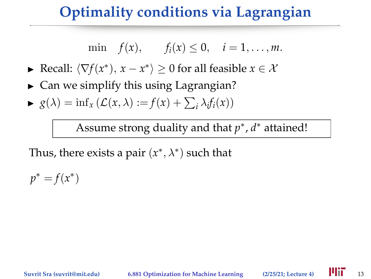$$
\min f(x), \quad f_i(x) \leq 0, \quad i=1,\ldots,m.
$$

- ► Recall:  $\langle \nabla f(x^*)$ ,  $x x^* \rangle \ge 0$  for all feasible  $x \in \mathcal{X}$
- $\triangleright$  Can we simplify this using Lagrangian?
- $\blacktriangleright$   $g(\lambda) = \inf_x (\mathcal{L}(x, \lambda)) := f(x) + \sum_i \lambda_i f_i(x)$

Assume strong duality and that *p* ∗ , *d* ∗ attained!

Thus, there exists a pair  $(x^*,\lambda^*)$  such that

 $p^* = f(x^*)$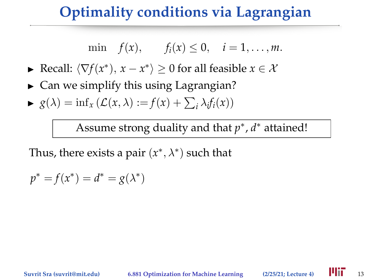$$
\min f(x), \qquad f_i(x) \leq 0, \quad i=1,\ldots,m.
$$

- ► Recall:  $\langle \nabla f(x^*)$ ,  $x x^* \rangle \ge 0$  for all feasible  $x \in \mathcal{X}$
- $\triangleright$  Can we simplify this using Lagrangian?
- $\blacktriangleright$   $g(\lambda) = \inf_x (\mathcal{L}(x, \lambda)) := f(x) + \sum_i \lambda_i f_i(x)$

Assume strong duality and that *p* ∗ , *d* ∗ attained!

Thus, there exists a pair  $(x^*,\lambda^*)$  such that

$$
p^* = f(x^*) = d^* = g(\lambda^*)
$$

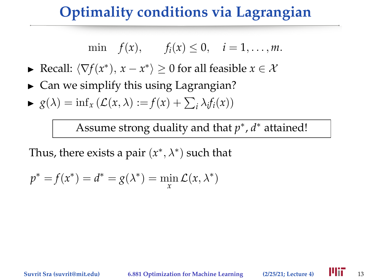$$
\min f(x), \qquad f_i(x) \leq 0, \quad i=1,\ldots,m.
$$

- ► Recall:  $\langle \nabla f(x^*)$ ,  $x x^* \rangle \ge 0$  for all feasible  $x \in \mathcal{X}$
- $\triangleright$  Can we simplify this using Lagrangian?
- $\blacktriangleright$   $g(\lambda) = \inf_x (\mathcal{L}(x, \lambda)) := f(x) + \sum_i \lambda_i f_i(x)$

Assume strong duality and that *p* ∗ , *d* ∗ attained!

Thus, there exists a pair  $(x^*,\lambda^*)$  such that

$$
p^* = f(x^*) = d^* = g(\lambda^*) = \min_{x} \mathcal{L}(x, \lambda^*)
$$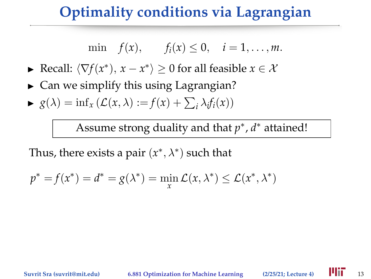$$
\min f(x), \qquad f_i(x) \leq 0, \quad i=1,\ldots,m.
$$

- ► Recall:  $\langle \nabla f(x^*)$ ,  $x x^* \rangle \ge 0$  for all feasible  $x \in \mathcal{X}$
- $\triangleright$  Can we simplify this using Lagrangian?
- $\blacktriangleright$   $g(\lambda) = \inf_x (\mathcal{L}(x, \lambda)) := f(x) + \sum_i \lambda_i f_i(x)$

Assume strong duality and that *p* ∗ , *d* ∗ attained!

Thus, there exists a pair  $(x^*,\lambda^*)$  such that

$$
p^* = f(x^*) = d^* = g(\lambda^*) = \min_x \mathcal{L}(x, \lambda^*) \le \mathcal{L}(x^*, \lambda^*)
$$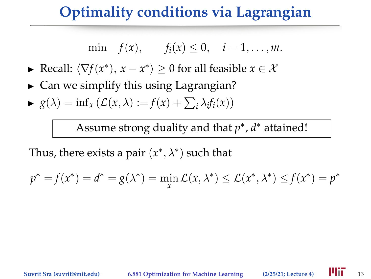$$
\min f(x), \qquad f_i(x) \leq 0, \quad i=1,\ldots,m.
$$

- ► Recall:  $\langle \nabla f(x^*)$ ,  $x x^* \rangle \ge 0$  for all feasible  $x \in \mathcal{X}$
- $\triangleright$  Can we simplify this using Lagrangian?
- $\blacktriangleright$   $g(\lambda) = \inf_x (\mathcal{L}(x, \lambda)) := f(x) + \sum_i \lambda_i f_i(x)$

Assume strong duality and that *p* ∗ , *d* ∗ attained!

Thus, there exists a pair  $(x^*,\lambda^*)$  such that

$$
p^* = f(x^*) = d^* = g(\lambda^*) = \min_{x} \mathcal{L}(x, \lambda^*) \le \mathcal{L}(x^*, \lambda^*) \le f(x^*) = p^*
$$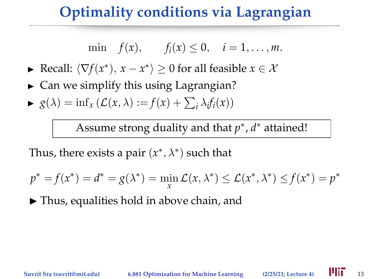$$
\min f(x), \qquad f_i(x) \leq 0, \quad i=1,\ldots,m.
$$

- ► Recall:  $\langle \nabla f(x^*)$ ,  $x x^* \rangle \ge 0$  for all feasible  $x \in \mathcal{X}$
- $\triangleright$  Can we simplify this using Lagrangian?
- $\blacktriangleright$   $g(\lambda) = \inf_x (\mathcal{L}(x, \lambda)) := f(x) + \sum_i \lambda_i f_i(x)$

Assume strong duality and that *p* ∗ , *d* ∗ attained!

Thus, there exists a pair  $(x^*,\lambda^*)$  such that

$$
p^* = f(x^*) = d^* = g(\lambda^*) = \min_{x} \mathcal{L}(x, \lambda^*) \le \mathcal{L}(x^*, \lambda^*) \le f(x^*) = p^*
$$

 $\blacktriangleright$  Thus, equalities hold in above chain, and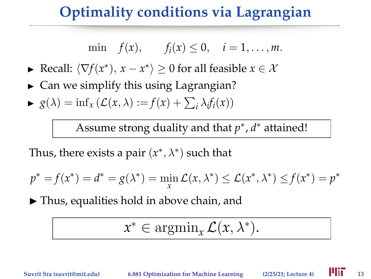$$
\min f(x), \quad f_i(x) \leq 0, \quad i=1,\ldots,m.
$$

- ► Recall:  $\langle \nabla f(x^*)$ ,  $x x^* \rangle \ge 0$  for all feasible  $x \in \mathcal{X}$
- $\triangleright$  Can we simplify this using Lagrangian?
- $\blacktriangleright$   $g(\lambda) = \inf_x (\mathcal{L}(x, \lambda)) := f(x) + \sum_i \lambda_i f_i(x)$

Assume strong duality and that *p* ∗ , *d* ∗ attained!

Thus, there exists a pair  $(x^*,\lambda^*)$  such that

$$
p^* = f(x^*) = d^* = g(\lambda^*) = \min_{x} \mathcal{L}(x, \lambda^*) \le \mathcal{L}(x^*, \lambda^*) \le f(x^*) = p^*
$$

 $\blacktriangleright$  Thus, equalities hold in above chain, and

$$
x^* \in \operatorname{argmin}_x \mathcal{L}(x, \lambda^*).
$$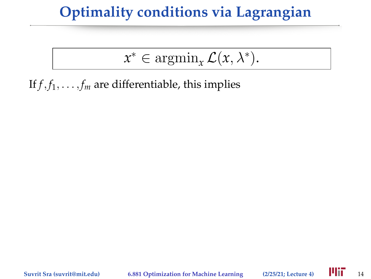$$
x^* \in \operatorname{argmin}_x \mathcal{L}(x, \lambda^*).
$$

If  $f$ ,  $f_1$ , . . . ,  $f_m$  are differentiable, this implies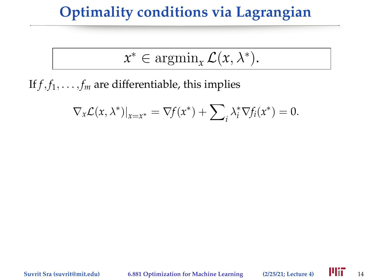$$
x^* \in \operatorname{argmin}_x \mathcal{L}(x, \lambda^*).
$$

If  $f$ ,  $f_1$ , . . . ,  $f_m$  are differentiable, this implies

$$
\nabla_x \mathcal{L}(x, \lambda^*)|_{x=x^*} = \nabla f(x^*) + \sum_i \lambda_i^* \nabla f_i(x^*) = 0.
$$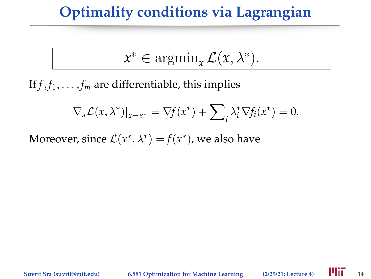$$
x^* \in \operatorname{argmin}_x \mathcal{L}(x, \lambda^*).
$$

If  $f$ ,  $f_1$ , . . . ,  $f_m$  are differentiable, this implies

$$
\nabla_x \mathcal{L}(x, \lambda^*)|_{x=x^*} = \nabla f(x^*) + \sum_i \lambda_i^* \nabla f_i(x^*) = 0.
$$

Moreover, since  $\mathcal{L}(x^*, \lambda^*) = f(x^*)$ , we also have

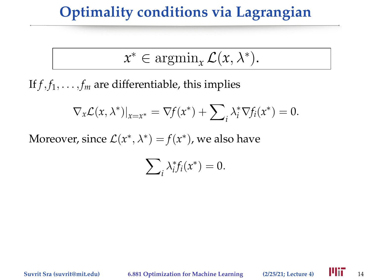$$
x^* \in \operatorname{argmin}_x \mathcal{L}(x, \lambda^*).
$$

If  $f$ ,  $f_1$ , . . . ,  $f_m$  are differentiable, this implies

$$
\nabla_x \mathcal{L}(x, \lambda^*)|_{x=x^*} = \nabla f(x^*) + \sum_i \lambda_i^* \nabla f_i(x^*) = 0.
$$

Moreover, since  $\mathcal{L}(x^*, \lambda^*) = f(x^*)$ , we also have

$$
\sum_{i} \lambda_i^* f_i(x^*) = 0.
$$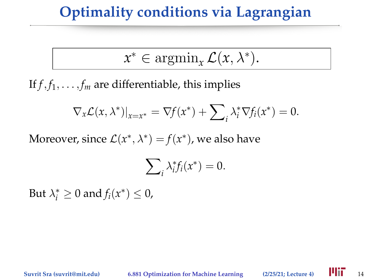$$
x^* \in \operatorname{argmin}_x \mathcal{L}(x, \lambda^*).
$$

If  $f$ ,  $f_1$ , . . . ,  $f_m$  are differentiable, this implies

$$
\nabla_{x}\mathcal{L}(x,\lambda^{*})|_{x=x^{*}}=\nabla f(x^{*})+\sum_{i}\lambda_{i}^{*}\nabla f_{i}(x^{*})=0.
$$

Moreover, since  $\mathcal{L}(x^*, \lambda^*) = f(x^*)$ , we also have

$$
\sum_{i} \lambda_i^* f_i(x^*) = 0.
$$

But  $\lambda_i^* \geq 0$  and  $f_i(x^*) \leq 0$ ,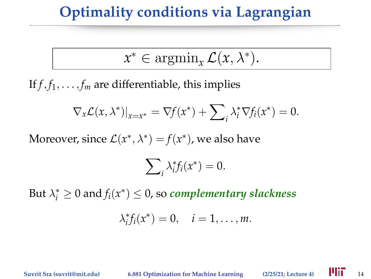$$
x^* \in \operatorname{argmin}_x \mathcal{L}(x, \lambda^*).
$$

If  $f$ ,  $f_1$ , . . . ,  $f_m$  are differentiable, this implies

$$
\nabla_{x}\mathcal{L}(x,\lambda^{*})|_{x=x^{*}}=\nabla f(x^{*})+\sum_{i}\lambda_{i}^{*}\nabla f_{i}(x^{*})=0.
$$

Moreover, since  $\mathcal{L}(x^*, \lambda^*) = f(x^*)$ , we also have

$$
\sum_{i} \lambda_i^* f_i(x^*) = 0.
$$

But  $\lambda_i^* \geq 0$  and  $f_i(x^*) \leq 0$ , so *complementary slackness* 

$$
\lambda_i^* f_i(x^*) = 0, \quad i = 1, \ldots, m.
$$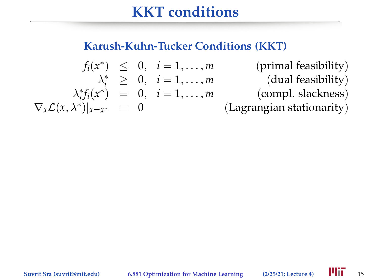#### **Karush-Kuhn-Tucker Conditions (KKT)**

$$
f_i(x^*) \leq 0, \quad i = 1, ..., m \quad \text{(primal feasibility)}
$$
\n
$$
\lambda_i^* \geq 0, \quad i = 1, ..., m \quad \text{(dual feasibility)}
$$
\n
$$
\lambda_i^* f_i(x^*) = 0, \quad i = 1, ..., m \quad \text{(comp. slackness)}
$$
\n
$$
\nabla_x \mathcal{L}(x, \lambda^*)|_{x=x^*} = 0 \quad \text{(Lagrangian stationarity)}
$$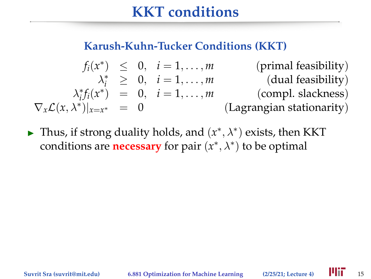#### **Karush-Kuhn-Tucker Conditions (KKT)**

$$
f_i(x^*) \leq 0, \quad i = 1, ..., m \quad \text{(primal feasibility)}
$$
\n
$$
\lambda_i^* \geq 0, \quad i = 1, ..., m \quad \text{(dual feasibility)}
$$
\n
$$
\lambda_i^* f_i(x^*) = 0, \quad i = 1, ..., m \quad \text{(comp. slackness)}
$$
\n
$$
\nabla_x \mathcal{L}(x, \lambda^*)|_{x=x^*} = 0 \quad \text{(Lagrangian stationarity)}
$$

► Thus, if strong duality holds, and  $(x^*, \lambda^*)$  exists, then KKT conditions are **necessary** for pair (*x* ∗ , λ∗ ) to be optimal

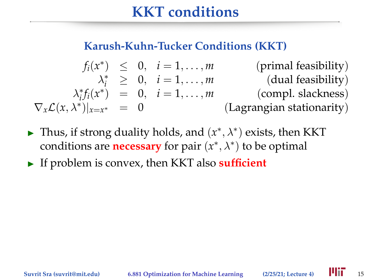#### **Karush-Kuhn-Tucker Conditions (KKT)**

$$
f_i(x^*) \leq 0, \quad i = 1, ..., m \quad \text{(primal feasibility)}
$$
\n
$$
\lambda_i^* \geq 0, \quad i = 1, ..., m \quad \text{(dual feasibility)}
$$
\n
$$
\lambda_i^* f_i(x^*) = 0, \quad i = 1, ..., m \quad \text{(comp. slackness)}
$$
\n
$$
\nabla_x \mathcal{L}(x, \lambda^*)|_{x=x^*} = 0 \quad \text{(Lagrangian stationarity)}
$$

- ► Thus, if strong duality holds, and  $(x^*, \lambda^*)$  exists, then KKT conditions are **necessary** for pair (*x* ∗ , λ∗ ) to be optimal
- If problem is convex, then KKT also **sufficient**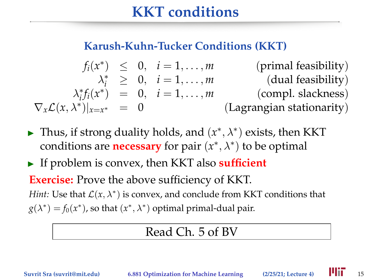#### **Karush-Kuhn-Tucker Conditions (KKT)**

$$
f_i(x^*) \leq 0, \quad i = 1, ..., m \quad \text{(primal feasibility)}
$$
\n
$$
\lambda_i^* \geq 0, \quad i = 1, ..., m \quad \text{(dual feasibility)}
$$
\n
$$
\lambda_i^* f_i(x^*) = 0, \quad i = 1, ..., m \quad \text{(compl. slackness)}
$$
\n
$$
\nabla_x \mathcal{L}(x, \lambda^*)|_{x=x^*} = 0 \quad \text{(Lagrangian stationarity)}
$$

- ► Thus, if strong duality holds, and  $(x^*, \lambda^*)$  exists, then KKT conditions are **necessary** for pair (*x* ∗ , λ∗ ) to be optimal
- If problem is convex, then KKT also **sufficient**

**Exercise:** Prove the above sufficiency of KKT. *Hint*: Use that  $\mathcal{L}(x, \lambda^*)$  is convex, and conclude from KKT conditions that  $g(\lambda^*) = f_0(x^*)$ , so that  $(x^*, \lambda^*)$  optimal primal-dual pair.

#### Read Ch. 5 of BV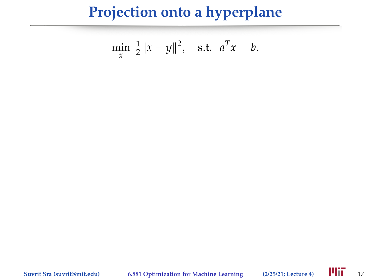$$
\min_{x} \frac{1}{2} \|x - y\|^2, \quad \text{s.t.} \quad a^T x = b.
$$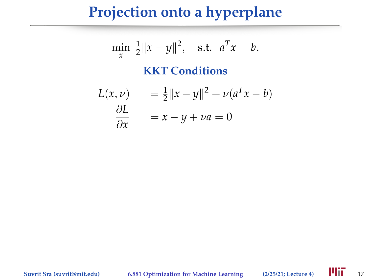$$
\min_{x} \frac{1}{2} \|x - y\|^2, \quad \text{s.t.} \quad a^T x = b.
$$

#### **KKT Conditions**

$$
L(x, \nu) = \frac{1}{2} ||x - y||^2 + \nu (a^T x - b)
$$

$$
\frac{\partial L}{\partial x} = x - y + \nu a = 0
$$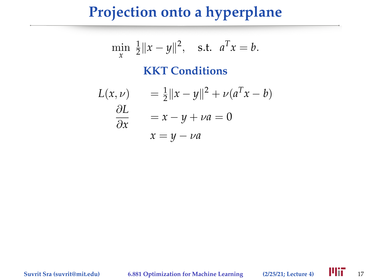$$
\min_{x} \frac{1}{2} \|x - y\|^2, \quad \text{s.t.} \quad a^T x = b.
$$

#### **KKT Conditions**

$$
L(x, \nu) = \frac{1}{2} ||x - y||^2 + \nu (a^T x - b)
$$
  
\n
$$
\frac{\partial L}{\partial x} = x - y + \nu a = 0
$$
  
\n
$$
x = y - \nu a
$$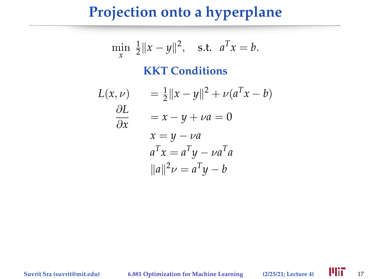$$
\min_{x} \frac{1}{2} \|x - y\|^2, \quad \text{s.t.} \quad a^T x = b.
$$

#### **KKT Conditions**

$$
L(x, \nu) = \frac{1}{2} ||x - y||^2 + \nu (a^T x - b)
$$
  
\n
$$
\frac{\partial L}{\partial x} = x - y + \nu a = 0
$$
  
\n
$$
x = y - \nu a
$$
  
\n
$$
a^T x = a^T y - \nu a^T a
$$
  
\n
$$
||a||^2 \nu = a^T y - b
$$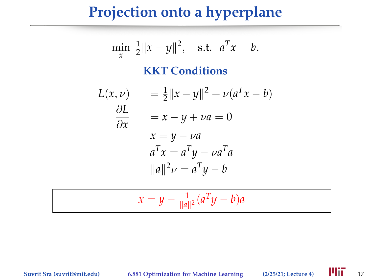#### **Projection onto a hyperplane**

$$
\min_{x} \frac{1}{2} \|x - y\|^2, \quad \text{s.t.} \quad a^T x = b.
$$

#### **KKT Conditions**

$$
L(x, \nu) = \frac{1}{2} ||x - y||^2 + \nu (a^T x - b)
$$
  
\n
$$
\frac{\partial L}{\partial x} = x - y + \nu a = 0
$$
  
\n
$$
x = y - \nu a
$$
  
\n
$$
a^T x = a^T y - \nu a^T a
$$
  
\n
$$
||a||^2 \nu = a^T y - b
$$

$$
x = y - \frac{1}{\|a\|^2} (a^T y - b) a
$$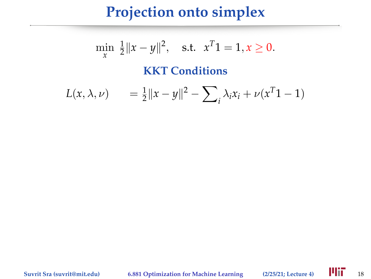## **Projection onto simplex**

$$
\min_{x} \frac{1}{2} \|x - y\|^2, \quad \text{s.t.} \quad x^T 1 = 1, x \ge 0.
$$

**KKT Conditions**

$$
L(x, \lambda, \nu) = \frac{1}{2} ||x - y||^2 - \sum_{i} \lambda_i x_i + \nu(x^T 1 - 1)
$$

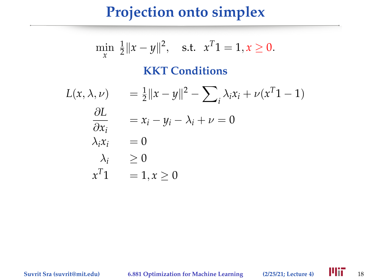## **Projection onto simplex**

$$
\min_{x} \frac{1}{2} \|x - y\|^2, \quad \text{s.t.} \quad x^T 1 = 1, x \ge 0.
$$
  
**KKT Conditions**

$$
L(x, \lambda, \nu) = \frac{1}{2} ||x - y||^2 - \sum_i \lambda_i x_i + \nu(x^T 1 - 1)
$$
  
\n
$$
\frac{\partial L}{\partial x_i} = x_i - y_i - \lambda_i + \nu = 0
$$
  
\n
$$
\lambda_i x_i = 0
$$
  
\n
$$
\lambda_i \ge 0
$$
  
\n
$$
x^T 1 = 1, x \ge 0
$$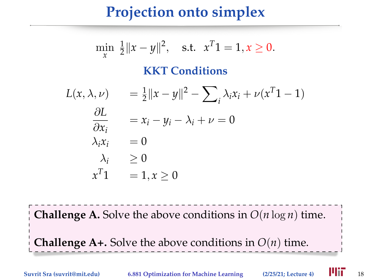# **Projection onto simplex**

$$
\min_{x} \frac{1}{2} ||x - y||^{2}, \quad \text{s.t.} \quad x^{T}1 = 1, x \ge 0.
$$
\nKKT Conditions

\n
$$
L(x, \lambda, \nu) = \frac{1}{2} ||x - y||^{2} - \sum_{i} \lambda_{i}x_{i} + \nu(x^{T}1 - 1)
$$
\n
$$
\frac{\partial L}{\partial x_{i}} = x_{i} - y_{i} - \lambda_{i} + \nu = 0
$$
\n
$$
\lambda_{i}x_{i} = 0
$$
\n
$$
\lambda_{i} \ge 0
$$
\n
$$
x^{T}1 = 1, x \ge 0
$$

**Challenge A.** Solve the above conditions in  $O(n \log n)$  time.

**Challenge A+.** Solve the above conditions in  $O(n)$  time.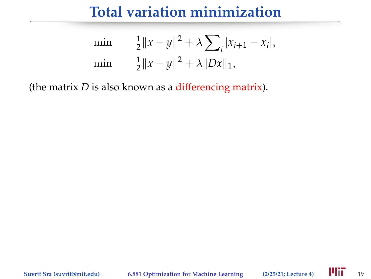min 
$$
\frac{1}{2} ||x - y||^2 + \lambda \sum_i |x_{i+1} - x_i|
$$
,  
min  $\frac{1}{2} ||x - y||^2 + \lambda ||Dx||_1$ ,

(the matrix *D* is also known as a differencing matrix).

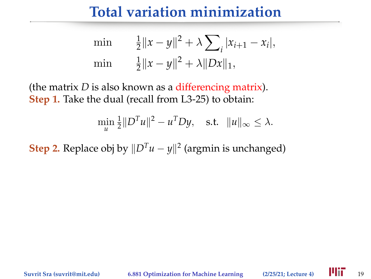min 
$$
\frac{1}{2} ||x - y||^2 + \lambda \sum_i |x_{i+1} - x_i|
$$
,  
min  $\frac{1}{2} ||x - y||^2 + \lambda ||Dx||_1$ ,

(the matrix *D* is also known as a differencing matrix). **Step 1.** Take the dual (recall from L3-25) to obtain:

$$
\min_{u} \frac{1}{2} ||D^T u||^2 - u^T D y, \quad \text{s.t.} \quad ||u||_{\infty} \leq \lambda.
$$

**Step 2.** Replace obj by  $||D^T u - y||^2$  (argmin is unchanged)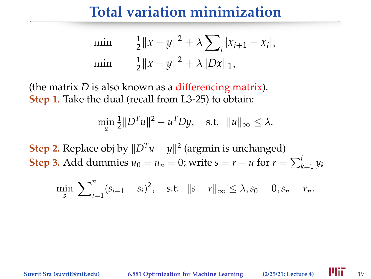min 
$$
\frac{1}{2} ||x - y||^2 + \lambda \sum_i |x_{i+1} - x_i|
$$
,  
min  $\frac{1}{2} ||x - y||^2 + \lambda ||Dx||_1$ ,

(the matrix *D* is also known as a differencing matrix). **Step 1.** Take the dual (recall from L3-25) to obtain:

$$
\min_{u} \frac{1}{2} ||D^{T}u||^{2} - u^{T}Dy, \text{ s.t. } ||u||_{\infty} \leq \lambda.
$$

**Step 2.** Replace obj by  $||D^T u - y||^2$  (argmin is unchanged) **Step 3.** Add dummies  $u_0 = u_n = 0$ ; write  $s = r - u$  for  $r = \sum_{k=1}^{i} y_k$ 

$$
\min_{s} \ \sum_{i=1}^{n} (s_{i-1} - s_i)^2, \quad \text{s.t.} \quad ||s - r||_{\infty} \le \lambda, s_0 = 0, s_n = r_n.
$$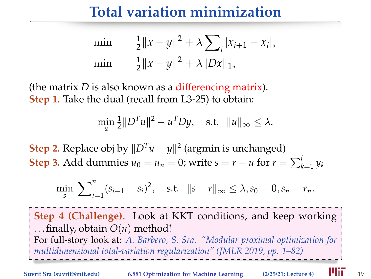min 
$$
\frac{1}{2} ||x - y||^2 + \lambda \sum_i |x_{i+1} - x_i|
$$
,  
min  $\frac{1}{2} ||x - y||^2 + \lambda ||Dx||_1$ ,

(the matrix *D* is also known as a differencing matrix). **Step 1.** Take the dual (recall from L3-25) to obtain:

$$
\min_{u} \frac{1}{2} ||D^T u||^2 - u^T D y, \quad \text{s.t.} \quad ||u||_{\infty} \leq \lambda.
$$

**Step 2.** Replace obj by  $||D^T u - y||^2$  (argmin is unchanged) **Step 3.** Add dummies  $u_0 = u_n = 0$ ; write  $s = r - u$  for  $r = \sum_{k=1}^{i} y_k$ 

$$
\min_{s} \ \sum_{i=1}^{n} (s_{i-1} - s_i)^2, \quad \text{s.t.} \quad ||s - r||_{\infty} \le \lambda, s_0 = 0, s_n = r_n.
$$

**Step 4 (Challenge).** Look at KKT conditions, and keep working . . . finally, obtain *O*(*n*) method! For full-story look at: *A. Barbero, S. Sra. "Modular proximal optimization for multidimensional total-variation regularization" (JMLR 2019, pp. 1–82)*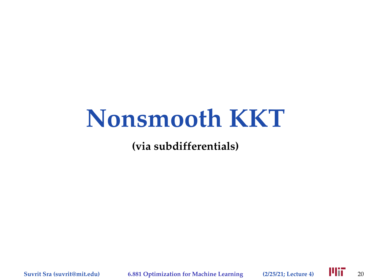# **Nonsmooth KKT**

**(via subdifferentials)**

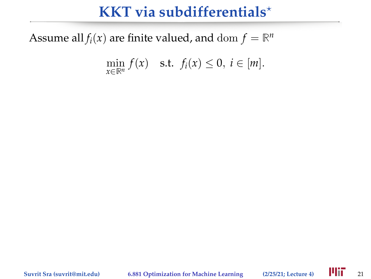Assume all  $f_i(x)$  are finite valued, and  $dom f = \mathbb{R}^n$ 

$$
\min_{x \in \mathbb{R}^n} f(x) \quad \text{s.t.} \ \ f_i(x) \leq 0, \ i \in [m].
$$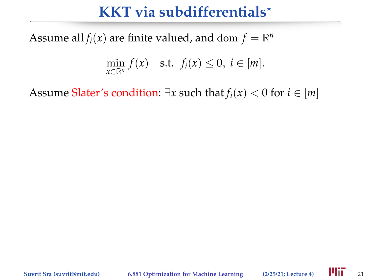Assume all  $f_i(x)$  are finite valued, and  $dom f = \mathbb{R}^n$ 

$$
\min_{x \in \mathbb{R}^n} f(x) \quad \text{s.t.} \ \ f_i(x) \leq 0, \ i \in [m].
$$

Assume Slater's condition:  $\exists x$  such that  $f_i(x) < 0$  for  $i \in [m]$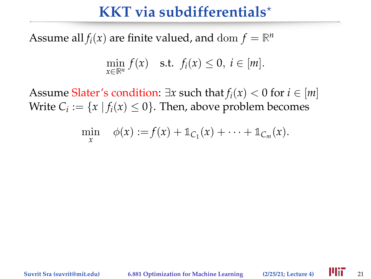Assume all  $f_i(x)$  are finite valued, and  $dom f = \mathbb{R}^n$ 

$$
\min_{x \in \mathbb{R}^n} f(x) \quad \text{s.t.} \ \ f_i(x) \leq 0, \ i \in [m].
$$

Assume Slater's condition:  $\exists x$  such that  $f_i(x) < 0$  for  $i \in [m]$ Write  $C_i := \{x \mid f_i(x) \leq 0\}$ . Then, above problem becomes

$$
\min_x \phi(x) := f(x) + \mathbb{1}_{C_1}(x) + \cdots + \mathbb{1}_{C_m}(x).
$$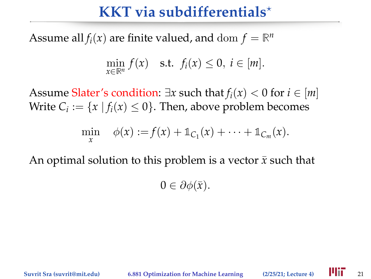Assume all  $f_i(x)$  are finite valued, and  $dom f = \mathbb{R}^n$ 

$$
\min_{x \in \mathbb{R}^n} f(x) \quad \text{s.t.} \ \ f_i(x) \leq 0, \ i \in [m].
$$

Assume Slater's condition:  $\exists x$  such that  $f_i(x) < 0$  for  $i \in [m]$ Write  $C_i := \{x \mid f_i(x) \leq 0\}$ . Then, above problem becomes

$$
\min_x \phi(x) := f(x) + \mathbb{1}_{C_1}(x) + \cdots + \mathbb{1}_{C_m}(x).
$$

An optimal solution to this problem is a vector  $\bar{x}$  such that

 $0 \in \partial \phi(\bar{x})$ .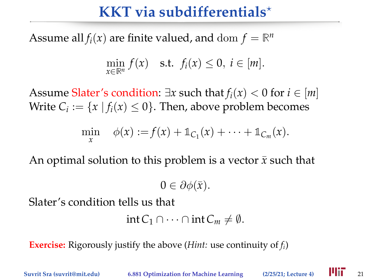Assume all  $f_i(x)$  are finite valued, and  $dom f = \mathbb{R}^n$ 

$$
\min_{x \in \mathbb{R}^n} f(x) \quad \text{s.t.} \ \ f_i(x) \leq 0, \ i \in [m].
$$

Assume Slater's condition:  $\exists x$  such that  $f_i(x) < 0$  for  $i \in [m]$ Write  $C_i := \{x \mid f_i(x) \leq 0\}$ . Then, above problem becomes

$$
\min_x \phi(x) := f(x) + \mathbb{1}_{C_1}(x) + \cdots + \mathbb{1}_{C_m}(x).
$$

An optimal solution to this problem is a vector  $\bar{x}$  such that

 $0 \in \partial \phi(\bar{x})$ .

Slater's condition tells us that

```
int C_1 \cap \cdots \cap int C_m \neq \emptyset.
```
**Exercise:** Rigorously justify the above (*Hint:* use continuity of *fi*)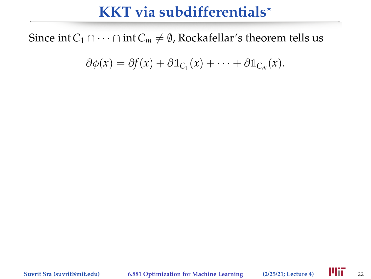Since int  $C_1$  ∩ · · · ∩ int  $C_m \neq \emptyset$ , Rockafellar's theorem tells us

$$
\partial \phi(x) = \partial f(x) + \partial \mathbb{1}_{C_1}(x) + \cdots + \partial \mathbb{1}_{C_m}(x).
$$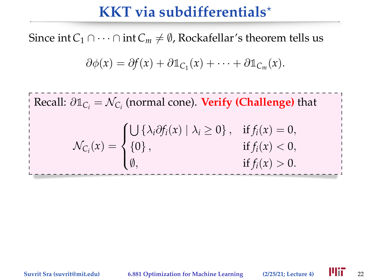Since int  $C_1$  ∩ · · · ∩ int  $C_m \neq \emptyset$ , Rockafellar's theorem tells us

$$
\partial \phi(x) = \partial f(x) + \partial \mathbb{1}_{C_1}(x) + \cdots + \partial \mathbb{1}_{C_m}(x).
$$

 $Recall: \partial \mathbb{1}_{C_i} = \mathcal{N}_{C_i}$  (normal cone). **Verify (Challenge)** that  $\mathcal{N}_{C_i}(x) =$  $\sqrt{ }$  $\int$  $\mathcal{L}$  $\bigcup \{\lambda_i \partial f_i(x) \mid \lambda_i \geq 0\}, \text{ if } f_i(x) = 0,$ {0}, if  $f_i(x) < 0$ , 0, if  $f_i(x) > 0$ .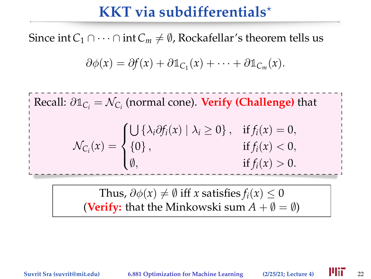Since int  $C_1$  ∩ · · · ∩ int  $C_m \neq \emptyset$ , Rockafellar's theorem tells us

$$
\partial \phi(x) = \partial f(x) + \partial \mathbb{1}_{C_1}(x) + \cdots + \partial \mathbb{1}_{C_m}(x).
$$

 $Recall: \partial \mathbb{1}_{C_i} = \mathcal{N}_{C_i}$  (normal cone). **Verify (Challenge)** that  $\mathcal{N}_{C_i}(x) =$  $\sqrt{ }$  $\int$  $\mathcal{L}$  $\bigcup \{\lambda_i \partial f_i(x) \mid \lambda_i \geq 0\}, \text{ if } f_i(x) = 0,$ {0}, if  $f_i(x) < 0$ , 0, if  $f_i(x) > 0$ .

> Thus,  $\partial \phi(x) \neq \emptyset$  iff *x* satisfies  $f_i(x) \leq 0$ **(Verify:** that the Minkowski sum  $A + \emptyset = \emptyset$ )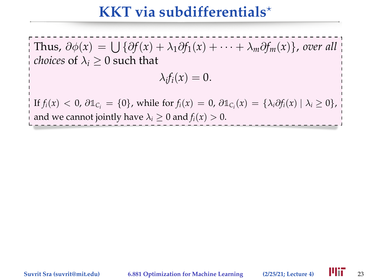Thus,  $\partial \phi(x) = \bigcup \{ \partial f(x) + \lambda_1 \partial f_1(x) + \cdots + \lambda_m \partial f_m(x) \}$ , over all *choices* of  $\lambda_i > 0$  such that

$$
\lambda_i f_i(x)=0.
$$

 $\text{If } f_i(x) < 0, \ \partial \mathbb{1}_{C_i} = \{0\}, \text{ while for } f_i(x) = 0, \ \partial \mathbb{1}_{C_i}(x) = \{\lambda_i \partial f_i(x) \mid \lambda_i \geq 0\},$ and we cannot jointly have  $\lambda_i > 0$  and  $f_i(x) > 0$ .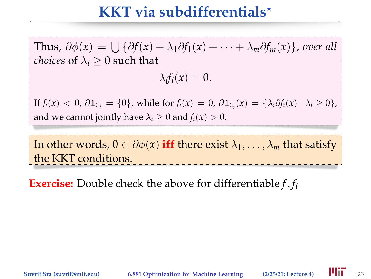Thus,  $\partial \phi(x) = \bigcup \{ \partial f(x) + \lambda_1 \partial f_1(x) + \cdots + \lambda_m \partial f_m(x) \}$ , over all *choices* of  $\lambda_i > 0$  such that

$$
\lambda_i f_i(x)=0.
$$

 $\text{If } f_i(x) < 0, \ \partial \mathbb{1}_{C_i} = \{0\}, \text{ while for } f_i(x) = 0, \ \partial \mathbb{1}_{C_i}(x) = \{\lambda_i \partial f_i(x) \mid \lambda_i \geq 0\},$ and we cannot jointly have  $\lambda_i > 0$  and  $f_i(x) > 0$ .

In other words,  $0 \in \partial \phi(x)$  iff there exist  $\lambda_1, \ldots, \lambda_m$  that satisfy the KKT conditions.

**Exercise:** Double check the above for differentiable *f*, *f<sup>i</sup>*

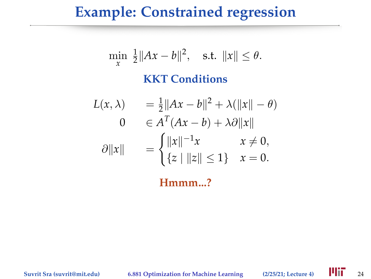#### **Example: Constrained regression**

$$
\min_{x} \frac{1}{2} ||Ax - b||^2, \quad \text{s.t. } ||x|| \le \theta.
$$
\n**KKT Conditions**

\n
$$
L(x, \lambda) = \frac{1}{2} ||Ax - b||^2 + \lambda (||x|| - \theta)
$$
\n
$$
0 \in A^T (Ax - b) + \lambda \partial ||x||
$$
\n
$$
\partial ||x|| = \begin{cases} ||x||^{-1}x & x \ne 0, \\ \{z \mid ||z|| \le 1\} & x = 0. \end{cases}
$$

**Hmmm...?**